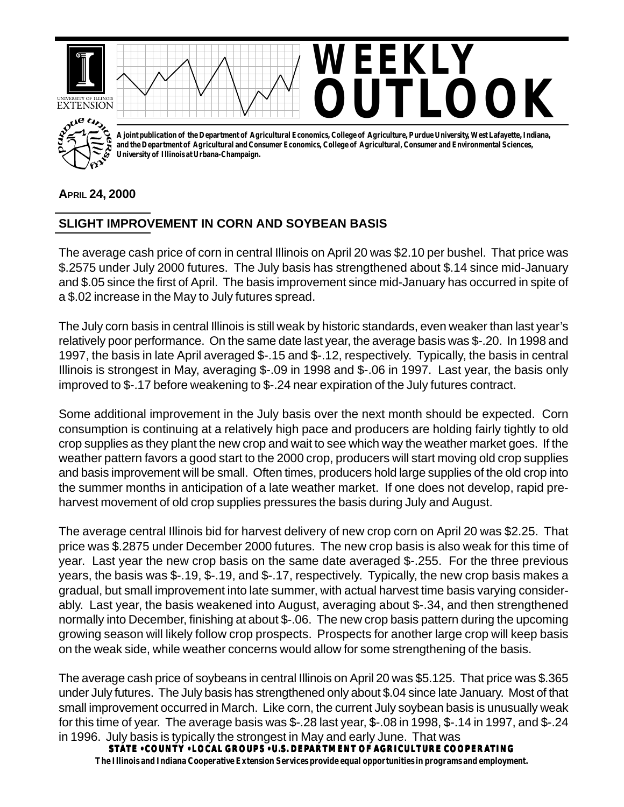

## **APRIL 24, 2000**

## **SLIGHT IMPROVEMENT IN CORN AND SOYBEAN BASIS**

The average cash price of corn in central Illinois on April 20 was \$2.10 per bushel. That price was \$.2575 under July 2000 futures. The July basis has strengthened about \$.14 since mid-January and \$.05 since the first of April. The basis improvement since mid-January has occurred in spite of a \$.02 increase in the May to July futures spread.

The July corn basis in central Illinois is still weak by historic standards, even weaker than last year's relatively poor performance. On the same date last year, the average basis was \$-.20. In 1998 and 1997, the basis in late April averaged \$-.15 and \$-.12, respectively. Typically, the basis in central Illinois is strongest in May, averaging \$-.09 in 1998 and \$-.06 in 1997. Last year, the basis only improved to \$-.17 before weakening to \$-.24 near expiration of the July futures contract.

Some additional improvement in the July basis over the next month should be expected. Corn consumption is continuing at a relatively high pace and producers are holding fairly tightly to old crop supplies as they plant the new crop and wait to see which way the weather market goes. If the weather pattern favors a good start to the 2000 crop, producers will start moving old crop supplies and basis improvement will be small. Often times, producers hold large supplies of the old crop into the summer months in anticipation of a late weather market. If one does not develop, rapid preharvest movement of old crop supplies pressures the basis during July and August.

The average central Illinois bid for harvest delivery of new crop corn on April 20 was \$2.25. That price was \$.2875 under December 2000 futures. The new crop basis is also weak for this time of year. Last year the new crop basis on the same date averaged \$-.255. For the three previous years, the basis was \$-.19, \$-.19, and \$-.17, respectively. Typically, the new crop basis makes a gradual, but small improvement into late summer, with actual harvest time basis varying considerably. Last year, the basis weakened into August, averaging about \$-.34, and then strengthened normally into December, finishing at about \$-.06. The new crop basis pattern during the upcoming growing season will likely follow crop prospects. Prospects for another large crop will keep basis on the weak side, while weather concerns would allow for some strengthening of the basis.

The average cash price of soybeans in central Illinois on April 20 was \$5.125. That price was \$.365 under July futures. The July basis has strengthened only about \$.04 since late January. Most of that small improvement occurred in March. Like corn, the current July soybean basis is unusually weak for this time of year. The average basis was \$-.28 last year, \$-.08 in 1998, \$-.14 in 1997, and \$-.24 in 1996. July basis is typically the strongest in May and early June. That was

**STATE • COUNTY • LOCAL GROUPS • U.S. DEPARTMENT OF AGRICULTURE COOPERATING The Illinois and Indiana Cooperative Extension Services provide equal opportunities in programs and employment.**